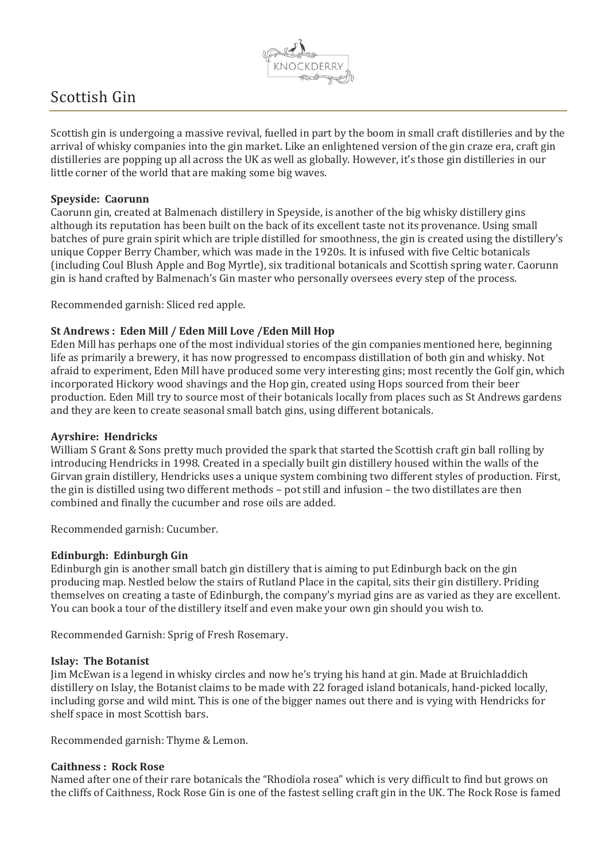

# Scottish Gin

Scottish gin is undergoing a massive revival, fuelled in part by the boom in small craft distilleries and by the arrival of whisky companies into the gin market. Like an enlightened version of the gin craze era, craft gin distilleries are popping up all across the UK as well as globally. However, it's those gin distilleries in our little corner of the world that are making some big waves.

#### **Speyside: Caorunn**

Caorunn gin, created at Balmenach distillery in Speyside, is another of the big whisky distillery gins although its reputation has been built on the back of its excellent taste not its provenance. Using small batches of pure grain spirit which are triple distilled for smoothness, the gin is created using the distillery's unique Copper Berry Chamber, which was made in the 1920s. It is infused with five Celtic botanicals (including Coul Blush Apple and Bog Myrtle), six traditional botanicals and Scottish spring water. Caorunn gin is hand crafted by Balmenach's Gin master who personally oversees every step of the process.

Recommended garnish: Sliced red apple.

### **St Andrews : Eden Mill / Eden Mill Love /Eden Mill Hop**

Eden Mill has perhaps one of the most individual stories of the gin companies mentioned here, beginning life as primarily a brewery, it has now progressed to encompass distillation of both gin and whisky. Not afraid to experiment, Eden Mill have produced some very interesting gins; most recently the Golf gin, which incorporated Hickory wood shavings and the Hop gin, created using Hops sourced from their beer production. Eden Mill try to source most of their botanicals locally from places such as St Andrews gardens and they are keen to create seasonal small batch gins, using different botanicals.

#### **Ayrshire: Hendricks**

William S Grant & Sons pretty much provided the spark that started the Scottish craft gin ball rolling by introducing Hendricks in 1998. Created in a specially built gin distillery housed within the walls of the Girvan grain distillery, Hendricks uses a unique system combining two different styles of production. First, the gin is distilled using two different methods – pot still and infusion – the two distillates are then combined and finally the cucumber and rose oils are added.

Recommended garnish: Cucumber.

#### **Edinburgh: Edinburgh Gin**

Edinburgh gin is another small batch gin distillery that is aiming to put Edinburgh back on the gin producing map. Nestled below the stairs of Rutland Place in the capital, sits their gin distillery. Priding themselves on creating a taste of Edinburgh, the company's myriad gins are as varied as they are excellent. You can book a tour of the distillery itself and even make your own gin should you wish to.

Recommended Garnish: Sprig of Fresh Rosemary.

#### **Islay: The Botanist**

Jim McEwan is a legend in whisky circles and now he's trying his hand at gin. Made at Bruichladdich distillery on Islay, the Botanist claims to be made with 22 foraged island botanicals, hand-picked locally, including gorse and wild mint. This is one of the bigger names out there and is vying with Hendricks for shelf space in most Scottish bars.

Recommended garnish: Thyme & Lemon.

#### **Caithness : Rock Rose**

Named after one of their rare botanicals the "Rhodiola rosea" which is very difficult to find but grows on the cliffs of Caithness, Rock Rose Gin is one of the fastest selling craft gin in the UK. The Rock Rose is famed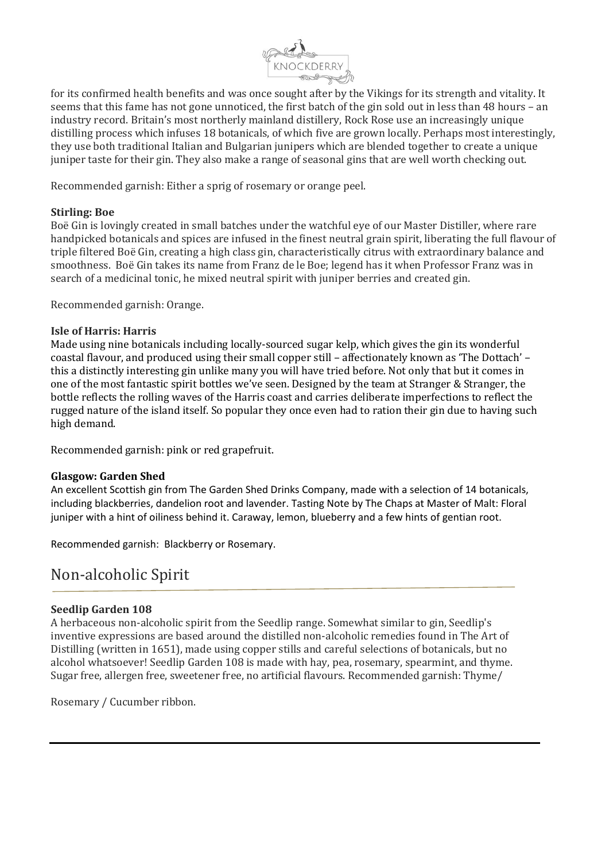

for its confirmed health benefits and was once sought after by the Vikings for its strength and vitality. It seems that this fame has not gone unnoticed, the first batch of the gin sold out in less than 48 hours – an industry record. Britain's most northerly mainland distillery, Rock Rose use an increasingly unique distilling process which infuses 18 botanicals, of which five are grown locally. Perhaps most interestingly, they use both traditional Italian and Bulgarian junipers which are blended together to create a unique juniper taste for their gin. They also make a range of seasonal gins that are well worth checking out.

Recommended garnish: Either a sprig of rosemary or orange peel.

#### **Stirling: Boe**

Boë Gin is lovingly created in small batches under the watchful eye of our Master Distiller, where rare handpicked botanicals and spices are infused in the finest neutral grain spirit, liberating the full flavour of triple filtered Boë Gin, creating a high class gin, characteristically citrus with extraordinary balance and smoothness. Boë Gin takes its name from Franz de le Boe; legend has it when Professor Franz was in search of a medicinal tonic, he mixed neutral spirit with juniper berries and created gin.

Recommended garnish: Orange.

#### **Isle of Harris: Harris**

Made using nine botanicals including locally-sourced sugar kelp, which gives the gin its wonderful coastal flavour, and produced using their small copper still – affectionately known as 'The Dottach' – this a distinctly interesting gin unlike many you will have tried before. Not only that but it comes in one of the most fantastic spirit bottles we've seen. Designed by the team at Stranger & Stranger, the bottle reflects the rolling waves of the Harris coast and carries deliberate imperfections to reflect the rugged nature of the island itself. So popular they once even had to ration their gin due to having such high demand.

Recommended garnish: pink or red grapefruit.

#### **Glasgow: Garden Shed**

An excellent Scottish gin from The Garden Shed Drinks Company, made with a selection of 14 botanicals, including blackberries, dandelion root and lavender. Tasting Note by The Chaps at Master of Malt: Floral juniper with a hint of oiliness behind it. Caraway, lemon, blueberry and a few hints of gentian root.

Recommended garnish: Blackberry or Rosemary.

## Non-alcoholic Spirit

#### **Seedlip Garden 108**

A herbaceous non-alcoholic spirit from the Seedlip range. Somewhat similar to gin, Seedlip's inventive expressions are based around the distilled non-alcoholic remedies found in The Art of Distilling (written in 1651), made using copper stills and careful selections of botanicals, but no alcohol whatsoever! Seedlip Garden 108 is made with hay, pea, rosemary, spearmint, and thyme. Sugar free, allergen free, sweetener free, no artificial flavours. Recommended garnish: Thyme/

Rosemary / Cucumber ribbon.